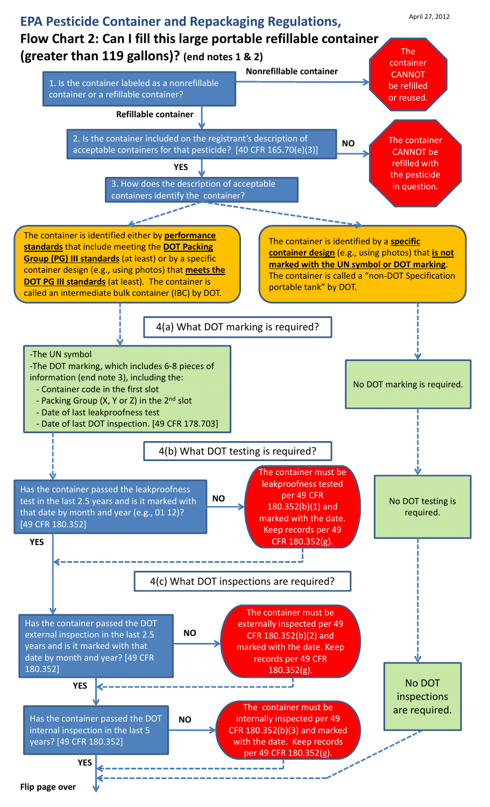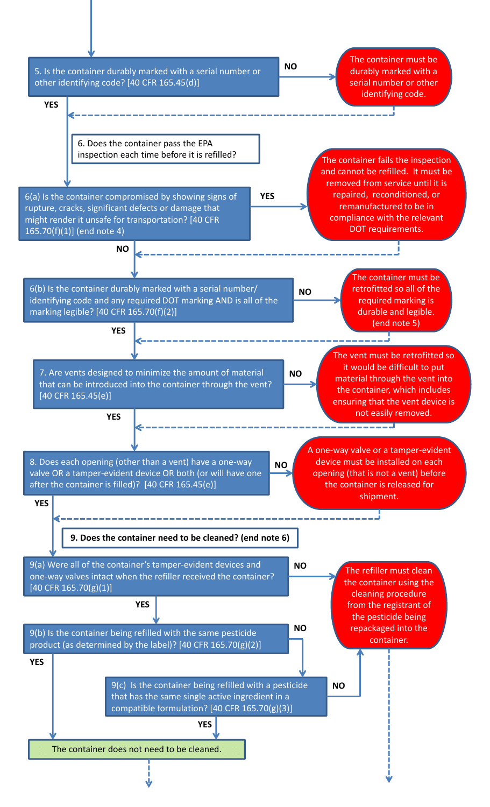